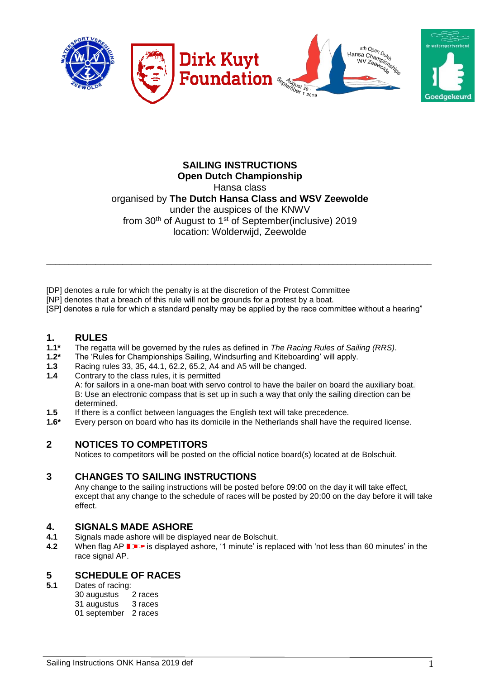

## **SAILING INSTRUCTIONS Open Dutch Championship** Hansa class organised by **The Dutch Hansa Class and WSV Zeewolde** under the auspices of the KNWV from 30<sup>th</sup> of August to 1<sup>st</sup> of September(inclusive) 2019 location: Wolderwijd, Zeewolde

[DP] denotes a rule for which the penalty is at the discretion of the Protest Committee

[NP] denotes that a breach of this rule will not be grounds for a protest by a boat.

[SP] denotes a rule for which a standard penalty may be applied by the race committee without a hearing"

\_\_\_\_\_\_\_\_\_\_\_\_\_\_\_\_\_\_\_\_\_\_\_\_\_\_\_\_\_\_\_\_\_\_\_\_\_\_\_\_\_\_\_\_\_\_\_\_\_\_\_\_\_\_\_\_\_\_\_\_\_\_\_\_\_\_\_\_\_\_\_\_\_\_\_\_\_\_\_\_\_\_\_\_\_\_

# **1. RULES**

- **1.1\*** The regatta will be governed by the rules as defined in *The Racing Rules of Sailing (RRS)*.
- **1.2\*** The 'Rules for Championships Sailing, Windsurfing and Kiteboarding' will apply.
- **1.3** Racing rules 33, 35, 44.1, 62.2, 65.2, A4 and A5 will be changed.
- **1.4** Contrary to the class rules, it is permitted

A: for sailors in a one-man boat with servo control to have the bailer on board the auxiliary boat. B: Use an electronic compass that is set up in such a way that only the sailing direction can be determined.

- **1.5** If there is a conflict between languages the English text will take precedence.
- **1.6\*** Every person on board who has its domicile in the Netherlands shall have the required license.

## **2 NOTICES TO COMPETITORS**

Notices to competitors will be posted on the official notice board(s) located at de Bolschuit.

## **3 CHANGES TO SAILING INSTRUCTIONS**

Any change to the sailing instructions will be posted before 09:00 on the day it will take effect, except that any change to the schedule of races will be posted by 20:00 on the day before it will take effect.

# **4. SIGNALS MADE ASHORE**

- **4.1** Signals made ashore will be displayed near de Bolschuit.
- **4.2** When flag AP **I F** is displayed ashore, '1 minute' is replaced with 'not less than 60 minutes' in the race signal AP.

### **5 SCHEDULE OF RACES**

**5.1** Dates of racing:

| 30 augustus  | 2 races |
|--------------|---------|
| 31 augustus  | 3 races |
| 01 september | 2 races |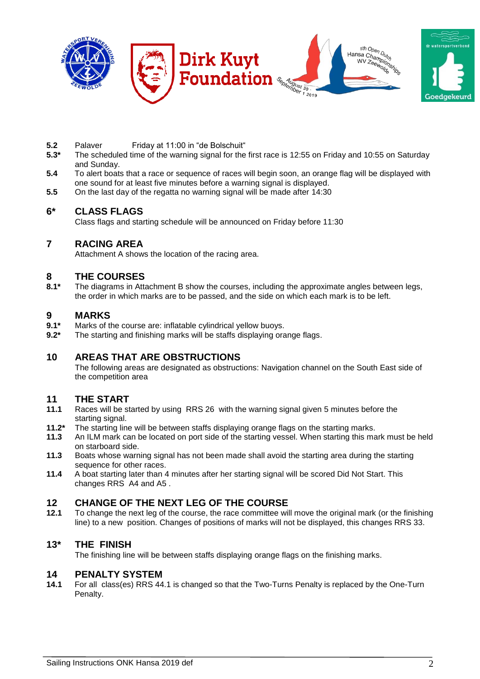

- **5.2** Palaver Friday at 11:00 in "de Bolschuit"
- **5.3\*** The scheduled time of the warning signal for the first race is 12:55 on Friday and 10:55 on Saturday and Sunday.
- **5.4** To alert boats that a race or sequence of races will begin soon, an orange flag will be displayed with one sound for at least five minutes before a warning signal is displayed.
- **5.5** On the last day of the regatta no warning signal will be made after 14:30

## **6\* CLASS FLAGS**

Class flags and starting schedule will be announced on Friday before 11:30

## **7 RACING AREA**

Attachment A shows the location of the racing area.

# **8 THE COURSES**

The diagrams in Attachment B show the courses, including the approximate angles between legs, the order in which marks are to be passed, and the side on which each mark is to be left.

# **9.1\*** MARKS

- Marks of the course are: inflatable cylindrical yellow buoys.
- **9.2\*** The starting and finishing marks will be staffs displaying orange flags.

### **10 AREAS THAT ARE OBSTRUCTIONS**

The following areas are designated as obstructions: Navigation channel on the South East side of the competition area

### **11 THE START**

- **11.1** Races will be started by using RRS 26 with the warning signal given 5 minutes before the starting signal.
- **11.2\*** The starting line will be between staffs displaying orange flags on the starting marks.
- **11.3** An ILM mark can be located on port side of the starting vessel. When starting this mark must be held on starboard side.
- **11.3** Boats whose warning signal has not been made shall avoid the starting area during the starting sequence for other races.
- **11.4** A boat starting later than 4 minutes after her starting signal will be scored Did Not Start. This changes RRS A4 and A5 .

# **12 CHANGE OF THE NEXT LEG OF THE COURSE**<br>**12.1** To change the next leg of the course the race committee will

**12.1** To change the next leg of the course, the race committee will move the original mark (or the finishing line) to a new position. Changes of positions of marks will not be displayed, this changes RRS 33.

### **13\* THE FINISH**

The finishing line will be between staffs displaying orange flags on the finishing marks.

### **14 PENALTY SYSTEM**

**14.1** For all class(es) RRS 44.1 is changed so that the Two-Turns Penalty is replaced by the One-Turn Penalty.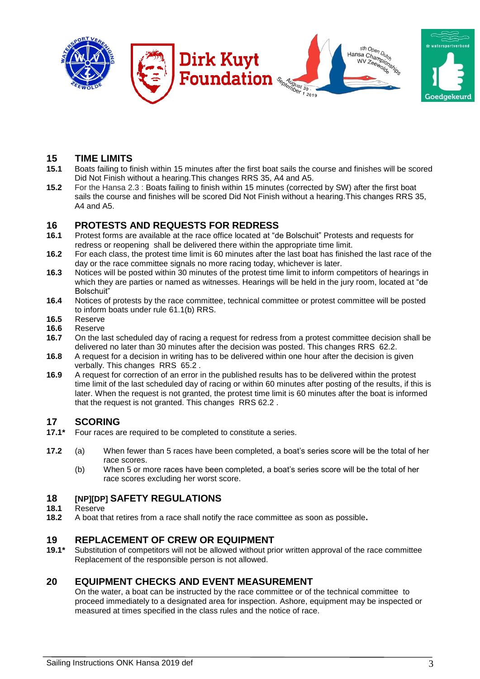

# **15 TIME LIMITS**

- **15.1** Boats failing to finish within 15 minutes after the first boat sails the course and finishes will be scored Did Not Finish without a hearing.This changes RRS 35, A4 and A5.
- **15.2** For the Hansa 2.3 : Boats failing to finish within 15 minutes (corrected by SW) after the first boat sails the course and finishes will be scored Did Not Finish without a hearing.This changes RRS 35, A4 and A5.

## **16 PROTESTS AND REQUESTS FOR REDRESS**

- **16.1** Protest forms are available at the race office located at "de Bolschuit" Protests and requests for redress or reopening shall be delivered there within the appropriate time limit.
- **16.2** For each class, the protest time limit is 60 minutes after the last boat has finished the last race of the day or the race committee signals no more racing today, whichever is later.
- **16.3** Notices will be posted within 30 minutes of the protest time limit to inform competitors of hearings in which they are parties or named as witnesses. Hearings will be held in the jury room, located at "de Bolschuit"
- **16.4** Notices of protests by the race committee, technical committee or protest committee will be posted to inform boats under rule 61.1(b) RRS.
- **16.5** Reserve
- **16.6** Reserve
- **16.7** On the last scheduled day of racing a request for redress from a protest committee decision shall be delivered no later than 30 minutes after the decision was posted. This changes RRS 62.2.
- **16.8** A request for a decision in writing has to be delivered within one hour after the decision is given verbally. This changes RRS 65.2 .
- **16.9** A request for correction of an error in the published results has to be delivered within the protest time limit of the last scheduled day of racing or within 60 minutes after posting of the results, if this is later. When the request is not granted, the protest time limit is 60 minutes after the boat is informed that the request is not granted. This changes RRS 62.2 .

## **17 SCORING**

- **17.1\*** Four races are required to be completed to constitute a series.
- **17.2** (a) When fewer than 5 races have been completed, a boat's series score will be the total of her race scores.
	- (b) When 5 or more races have been completed, a boat's series score will be the total of her race scores excluding her worst score.

# **18 [NP][DP] SAFETY REGULATIONS**

#### **18.1** Reserve

**18.2** A boat that retires from a race shall notify the race committee as soon as possible**.**

### **19 REPLACEMENT OF CREW OR EQUIPMENT**

**19.1\*** Substitution of competitors will not be allowed without prior written approval of the race committee Replacement of the responsible person is not allowed.

## **20 EQUIPMENT CHECKS AND EVENT MEASUREMENT**

On the water, a boat can be instructed by the race committee or of the technical committee to proceed immediately to a designated area for inspection. Ashore, equipment may be inspected or measured at times specified in the class rules and the notice of race.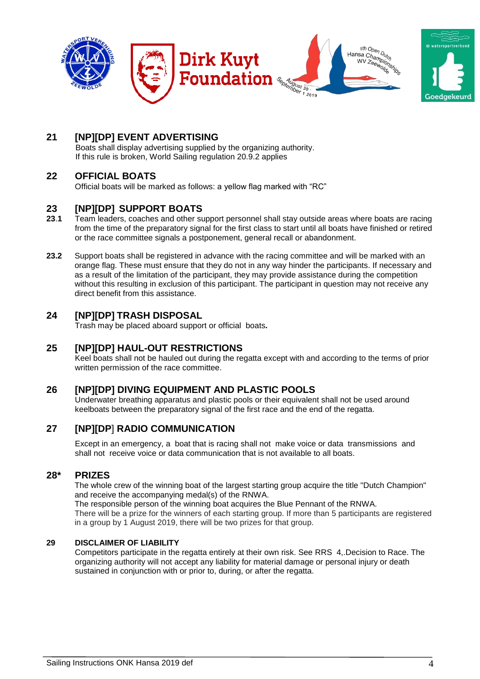

## **21 [NP][DP] EVENT ADVERTISING**

Boats shall display advertising supplied by the organizing authority. If this rule is broken, World Sailing regulation 20.9.2 applies

## **22 OFFICIAL BOATS**

Official boats will be marked as follows: a yellow flag marked with "RC"

## **23 [NP][DP] SUPPORT BOATS**

- **23**.**1** Team leaders, coaches and other support personnel shall stay outside areas where boats are racing from the time of the preparatory signal for the first class to start until all boats have finished or retired or the race committee signals a postponement, general recall or abandonment.
- **23.2** Support boats shall be registered in advance with the racing committee and will be marked with an orange flag. These must ensure that they do not in any way hinder the participants. If necessary and as a result of the limitation of the participant, they may provide assistance during the competition without this resulting in exclusion of this participant. The participant in question may not receive any direct benefit from this assistance.

## **24 [NP][DP] TRASH DISPOSAL**

Trash may be placed aboard support or official boats**.**

## **25 [NP][DP] HAUL-OUT RESTRICTIONS**

Keel boats shall not be hauled out during the regatta except with and according to the terms of prior written permission of the race committee.

## **26 [NP][DP] DIVING EQUIPMENT AND PLASTIC POOLS**

Underwater breathing apparatus and plastic pools or their equivalent shall not be used around keelboats between the preparatory signal of the first race and the end of the regatta.

## **27 [NP][DP**] **RADIO COMMUNICATION**

Except in an emergency, a boat that is racing shall not make voice or data transmissions and shall not receive voice or data communication that is not available to all boats.

## **28\* PRIZES**

The whole crew of the winning boat of the largest starting group acquire the title "Dutch Champion" and receive the accompanying medal(s) of the RNWA.

The responsible person of the winning boat acquires the Blue Pennant of the RNWA. There will be a prize for the winners of each starting group. If more than 5 participants are registered in a group by 1 August 2019, there will be two prizes for that group.

#### **29 DISCLAIMER OF LIABILITY**

Competitors participate in the regatta entirely at their own risk. See RRS 4,.Decision to Race. The organizing authority will not accept any liability for material damage or personal injury or death sustained in conjunction with or prior to, during, or after the regatta.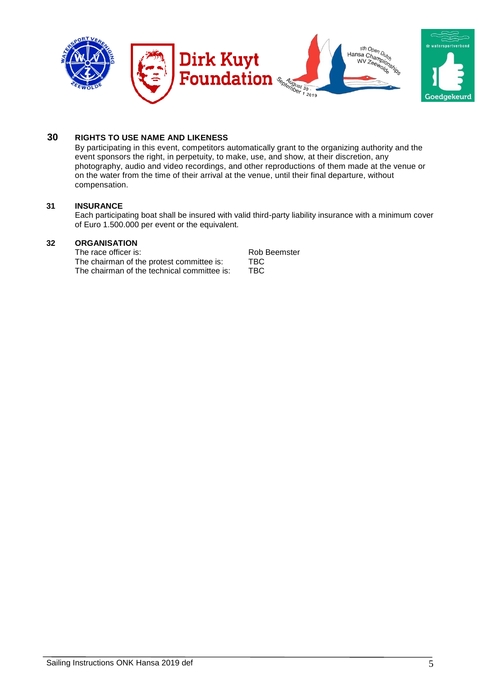

## **30 RIGHTS TO USE NAME AND LIKENESS**

By participating in this event, competitors automatically grant to the organizing authority and the event sponsors the right, in perpetuity, to make, use, and show, at their discretion, any photography, audio and video recordings, and other reproductions of them made at the venue or on the water from the time of their arrival at the venue, until their final departure, without compensation.

#### **31 INSURANCE**

Each participating boat shall be insured with valid third-party liability insurance with a minimum cover of Euro 1.500.000 per event or the equivalent.

### **32 ORGANISATION**

The race officer is: Rob Beemster<br>The chairman of the protest committee is: TBC The chairman of the protest committee is: TBC<br>The chairman of the technical committee is: TBC The chairman of the technical committee is: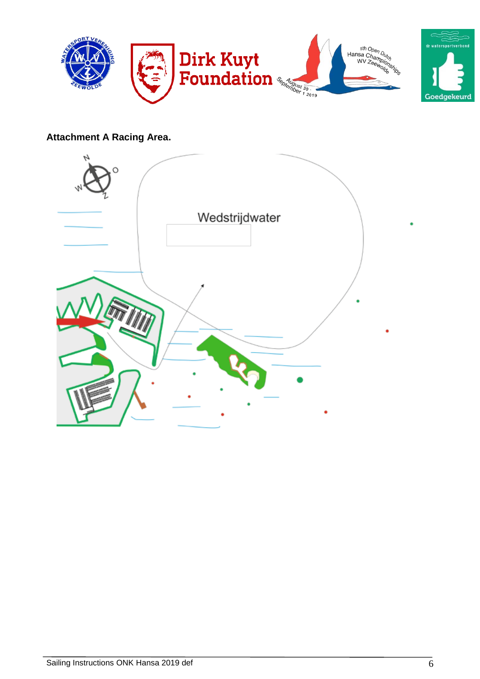

## **Attachment A Racing Area.**